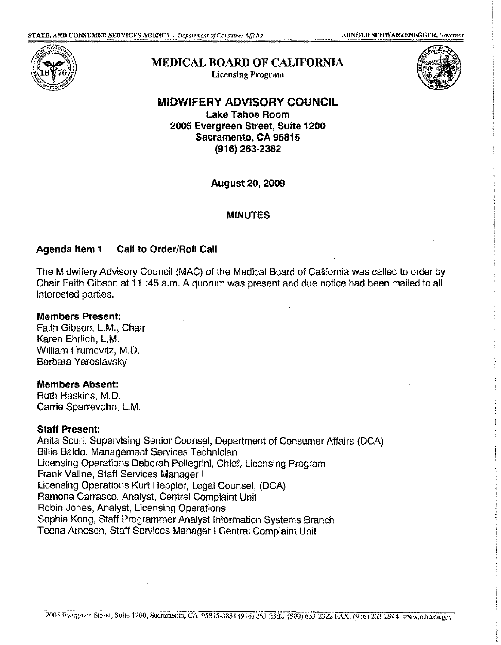

# **MEDICAL BOARD OF CALIFORNIA**  Licensing Program



### **MIDWIFERY ADVISORY COUNCIL Lake Tahoe Room 2005 Evergreen Street, Suite 1200 Sacramento, CA 95815 (916) 263-2382**

**August 20, 2009** 

#### **MINUTES**

# **Agenda Item 1 Call to Order/Roll Call**

The Midwifery Advisory Council (MAC) of the Medical Board of California was called to order by Chair Faith Gibson at 11 :45 a.m. A quorum was present and due notice had been mailed to all interested parties.

#### **Members Present:**

Faith Gibson, L.M., Chair Karen Ehrlich, L.M. William Frumovitz, M.D. Barbara Yaroslavsky

#### **Members Absent:**

Ruth Haskins, M.D. Carrie Sparrevohn, L.M.

#### **Staff Present:**

Anita Scuri, Supervising Senior Counsel, Department of Consumer Affairs (DCA) Billie Baldo, Management Services Technician Licensing Operations Deborah Pellegrini, Chief, Licensing Program Frank Valine, Staff Services Manager I Licensing Operations Kurt Heppler, Legal Counsel, (DCA) Ramona Carrasco, Analyst, Central Complaint Unit Robin Jones, Analyst, Licensing Operations Sophia Kong, Staff Programmer Analyst Information Systems Branch Teena Arneson, Staff Services Manager I Central Complaint Unit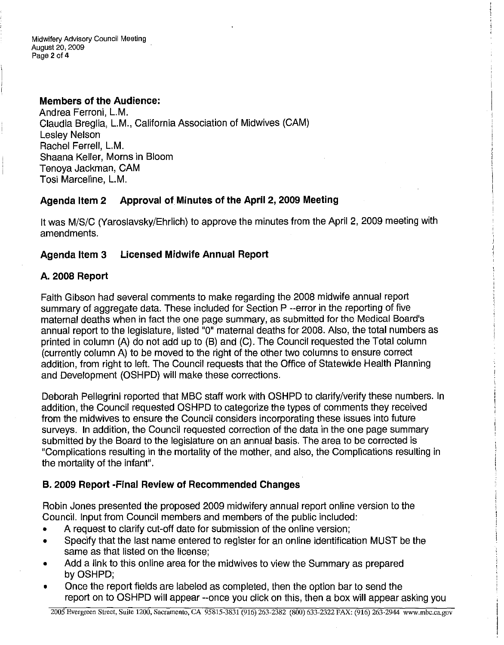### **Members of the Audience:**

Andrea Ferroni, L.M. Claudia Breglia, L.M., California Association of Midwives (CAM) Lesley Nelson Rachel Ferrell, L.M. Shaana Keller, Morns in Bloom Tenoya Jackman, CAM Tosi Marceline, L.M.

# **Agenda Item 2 Approval of Minutes of the April 2, 2009 Meeting**

It was M/S/C (Yaroslavsky/Ehrlich) to approve the minutes from the April 2, 2009 meeting with amendments.

# **Agenda Item 3 Licensed Midwife Annual Report**

### **A. 2008 Report**

Faith Gibson had several comments to make regarding the 2008 midwife annual report summary of aggregate data. These included for Section P --error in the reporting of five maternal deaths when in fact the one page summary, as submitted for the Medical Board's annual report to the legislature, listed "O" maternal deaths for 2008. Also, the total numbers as printed in column (A) do not add up to (B) and (C). The Council requested the Total column (currently column A) to be moved to the right of the other two columns to ensure correct addition, from right to left. The Council requests that the Office of Statewide Health Planning and Development (OSHPD) will make these corrections.

Deborah Pellegrini reported that MBC staff work with OSHPD to clarify/verify these numbers. In addition, the Council requested OSHPD to categorize the types of comments they received from the midwives to ensure the Council considers incorporating these issues into future surveys. In addition, the Council requested correction of the data in the one page summary submitted by the Board to the legislature on an annual basis. The area to be corrected is "Complications resulting in the mortality of the mother, and also, the Complications resulting in the mortality of the infant".

# **B. 2009 Report -Final Review of Recommended Changes**

Robin Jones presented the proposed 2009 midwifery annual report online version to the Council. Input from Council members and members of the public included:

- A request to clarify cut-off date for submission of the online version;
- Specify that the last name entered to register for an online identification MUST be the same as that listed on the license;
- Add a link to this online area for the midwives to view the Summary as prepared by OSHPD;
- Once the report fields are labeled as completed, then the option bar to send the report on to OSHPD will appear --once you click on this, then a box will appear asking you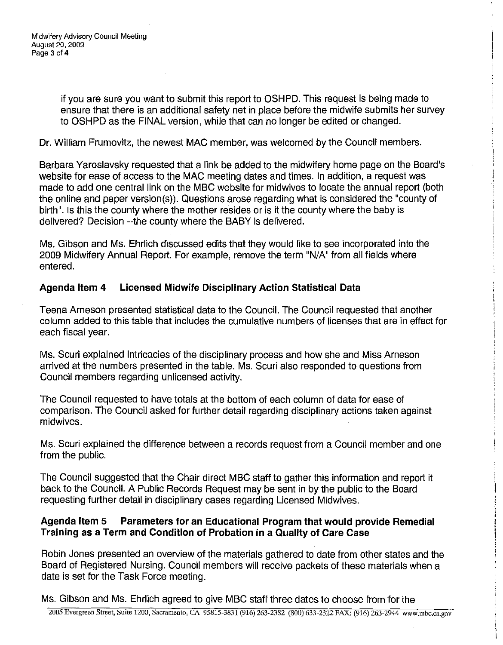if you are sure you want to submit this report to OSHPD. This request is being made to ensure that there is an additional safety net in place before the midwife submits her survey to OSHPD as the FINAL version, while that can no longer be edited or changed.

Dr. William Frumovitz, the newest MAC member, was welcomed by the Council members.

Barbara Yaroslavsky requested that a link be added to the midwifery home page on the Board's website for ease of access to the MAC meeting dates and times. In addition, a request was made to add one central link on the MBC website for midwives to locate the annual report (both the online and paper version(s)). Questions arose regarding what is considered the "county of birth". Is this the county where the mother resides or is it the county where the baby is delivered? Decision --the county where the BABY is delivered.

Ms. Gibson and Ms. Ehrlich discussed edits that they would like to see incorporated into the 2009 Midwifery Annual Report. For example, remove the term "N/A" from all fields where entered.

# **Agenda Item 4 Licensed Midwife Disciplinary Action Statistical Data**

Teena Arneson presented statistical data to the Council. The Council requested that another column added to this table that includes the cumulative numbers of licenses that are in effect for each fiscal year.

Ms. Scuri explained intricacies of the disciplinary process and how she and Miss Arneson arrived at the numbers presented in the table. Ms. Scuri also responded to questions from Council members regarding unlicensed activity.

The Council requested to have totals at the bottom of each column of data for ease of comparison. The Council asked for further detail regarding disciplinary actions taken against midwives.

Ms. Scuri explained the difference between a records request from a Council member and one from the public.

The Council suggested that the Chair direct MBC staff to gather this information and report it back to the Council. A Public Records Request may be sent in by the public to the Board requesting further detail in disciplinary cases regarding Licensed Midwives.

# **Agenda Item 5 Parameters for an Educational Program that would provide Remedial Training as a Term and Condition of Probation in a Quality of Care Case**

Robin Jones presented an overview of the materials gathered to date from other states and the Board of Registered Nursing. Council members will receive packets of these materials when a date is set for the Task Force meeting.

Ms. Gibson and Ms. Ehrlich agreed to give MBC staff three dates to choose from for the